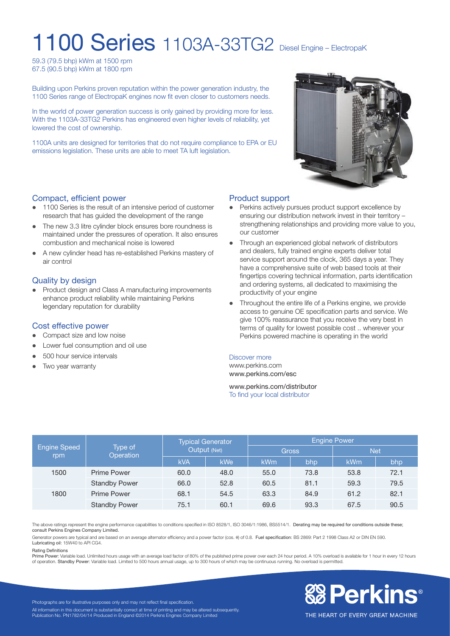# 1100 Series 1103A-33TG2 Diesel Engine – ElectropaK

59.3 (79.5 bhp) kWm at 1500 rpm 67.5 (90.5 bhp) kWm at 1800 rpm

Building upon Perkins proven reputation within the power generation industry, the 1100 Series range of ElectropaK engines now fit even closer to customers needs.

In the world of power generation success is only gained by providing more for less. With the 1103A-33TG2 Perkins has engineered even higher levels of reliability, yet lowered the cost of ownership.

1100A units are designed for territories that do not require compliance to EPA or EU emissions legislation. These units are able to meet TA luft legislation.

#### Compact, efficient power

- 1100 Series is the result of an intensive period of customer research that has guided the development of the range
- The new 3.3 litre cylinder block ensures bore roundness is maintained under the pressures of operation. It also ensures combustion and mechanical noise is lowered
- l A new cylinder head has re-established Perkins mastery of air control

#### Quality by design

• Product design and Class A manufacturing improvements enhance product reliability while maintaining Perkins legendary reputation for durability

#### Cost effective power

- Compact size and low noise
- l Lower fuel consumption and oil use
- 500 hour service intervals
- Two year warranty



#### Product support

- Perkins actively pursues product support excellence by ensuring our distribution network invest in their territory – strengthening relationships and providing more value to you, our customer
- Through an experienced global network of distributors and dealers, fully trained engine experts deliver total service support around the clock, 365 days a year. They have a comprehensive suite of web based tools at their fingertips covering technical information, parts identification and ordering systems, all dedicated to maximising the productivity of your engine
- l Throughout the entire life of a Perkins engine, we provide access to genuine OE specification parts and service. We give 100% reassurance that you receive the very best in terms of quality for lowest possible cost .. wherever your Perkins powered machine is operating in the world

#### Discover more

www.perkins.com www.perkins.com/esc

www.perkins.com/distributor To find your local distributor

|                            | Type of<br>Operation | <b>Typical Generator</b><br>Output (Net) |      | Engine Power |      |            |      |
|----------------------------|----------------------|------------------------------------------|------|--------------|------|------------|------|
| <b>Engine Speed</b><br>rpm |                      |                                          |      | <b>Gross</b> |      | <b>Net</b> |      |
|                            |                      | <b>kVA</b>                               | kWe  | <b>kWm</b>   | bhp  | kWm        | bhp  |
| 1500                       | <b>Prime Power</b>   | 60.0                                     | 48.0 | 55.0         | 73.8 | 53.8       | 72.1 |
|                            | <b>Standby Power</b> | 66.0                                     | 52.8 | 60.5         | 81.1 | 59.3       | 79.5 |
| 1800                       | Prime Power          | 68.1                                     | 54.5 | 63.3         | 84.9 | 61.2       | 82.1 |
|                            | <b>Standby Power</b> | 75.1                                     | 60.1 | 69.6         | 93.3 | 67.5       | 90.5 |

The above ratings represent the engine performance capabilities to conditions specified in ISO 8528/1, ISO 3046/1:1986, BS5514/1. Derating may be required for conditions outside these; consult Perkins Engines Company Limited.

Generator powers are typical and are based on an average alternator efficiency and a power factor (cos.  $\theta$ ) of 0.8. Fuel specification: BS 2869: Part 2 1998 Class A2 or DIN EN 590. Lubricating oil: 15W40 to API CG4.

#### Rating Definitions

Prime Power: Variable load. Unlimited hours usage with an average load factor of 80% of the published prime power over each 24 hour period. A 10% overload is available for 1 hour in every 12 hours<br>of operation. Standby Pow



Photographs are for illustrative purposes only and may not reflect final specification. All information in this document is substantially correct at time of printing and may be altered subsequently. Publication No. PN1782/04/14 Produced in England ©2014 Perkins Engines Company Limited